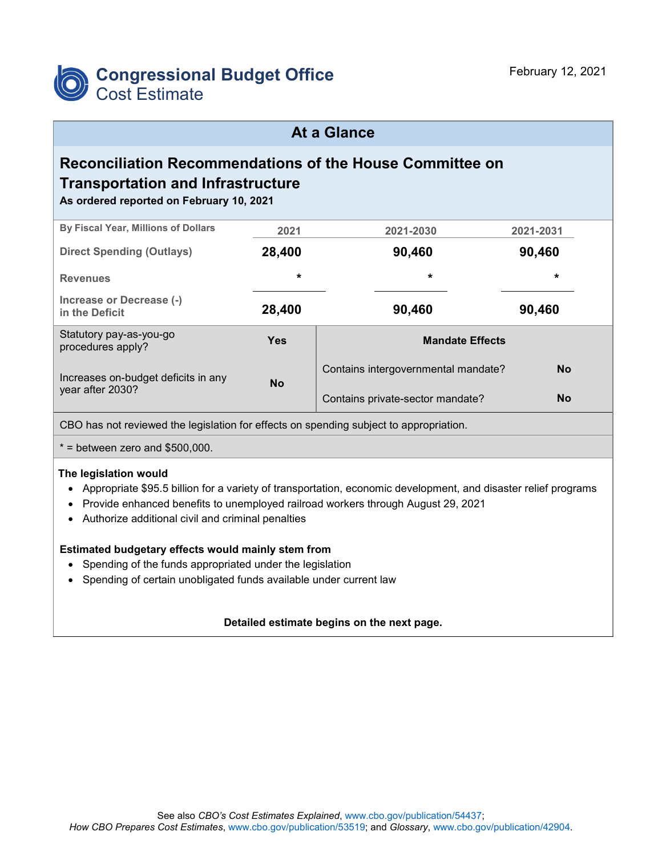

# **At a Glance**

# **Reconciliation Recommendations of the House Committee on Transportation and Infrastructure**

**As ordered reported on February 10, 2021**

| By Fiscal Year, Millions of Dollars                     | 2021       | 2021-2030                           | 2021-2031 |  |  |
|---------------------------------------------------------|------------|-------------------------------------|-----------|--|--|
| <b>Direct Spending (Outlays)</b>                        | 28,400     | 90,460                              | 90,460    |  |  |
| <b>Revenues</b>                                         | $\star$    | $\star$                             | $\star$   |  |  |
| Increase or Decrease (-)<br>in the Deficit              | 28,400     | 90,460                              | 90,460    |  |  |
| Statutory pay-as-you-go<br>procedures apply?            | <b>Yes</b> | <b>Mandate Effects</b>              |           |  |  |
| Increases on-budget deficits in any<br>year after 2030? | <b>No</b>  | Contains intergovernmental mandate? | <b>No</b> |  |  |
|                                                         |            | Contains private-sector mandate?    | <b>No</b> |  |  |

CBO has not reviewed the legislation for effects on spending subject to appropriation.

 $*$  = between zero and \$500,000.

#### **The legislation would**

- Appropriate \$95.5 billion for a variety of transportation, economic development, and disaster relief programs
- Provide enhanced benefits to unemployed railroad workers through August 29, 2021
- Authorize additional civil and criminal penalties

#### **Estimated budgetary effects would mainly stem from**

- Spending of the funds appropriated under the legislation
- Spending of certain unobligated funds available under current law

#### **Detailed estimate begins on the next page.**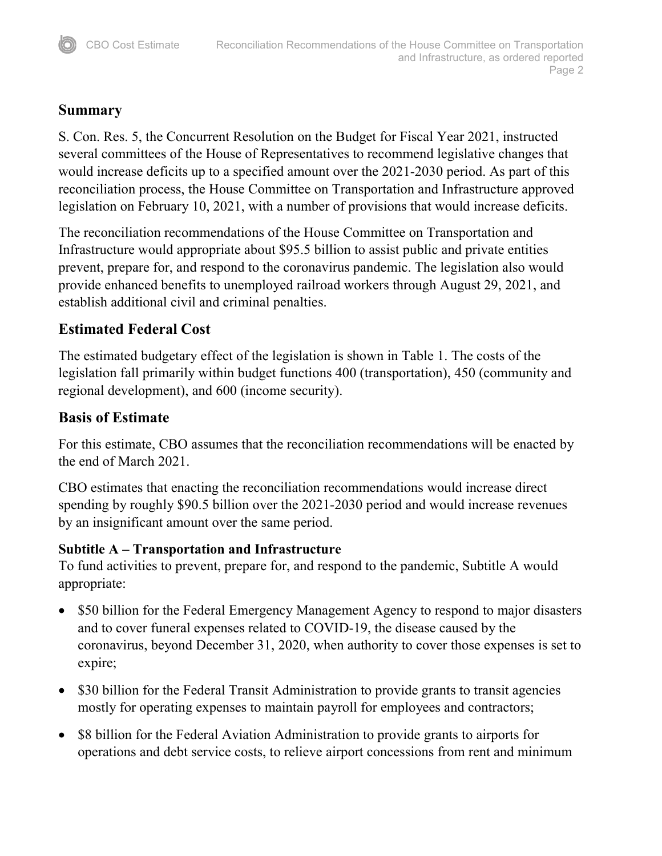#### **Summary**

S. Con. Res. 5, the Concurrent Resolution on the Budget for Fiscal Year 2021, instructed several committees of the House of Representatives to recommend legislative changes that would increase deficits up to a specified amount over the 2021-2030 period. As part of this reconciliation process, the House Committee on Transportation and Infrastructure approved legislation on February 10, 2021, with a number of provisions that would increase deficits.

The reconciliation recommendations of the House Committee on Transportation and Infrastructure would appropriate about \$95.5 billion to assist public and private entities prevent, prepare for, and respond to the coronavirus pandemic. The legislation also would provide enhanced benefits to unemployed railroad workers through August 29, 2021, and establish additional civil and criminal penalties.

# **Estimated Federal Cost**

The estimated budgetary effect of the legislation is shown in Table 1. The costs of the legislation fall primarily within budget functions 400 (transportation), 450 (community and regional development), and 600 (income security).

## **Basis of Estimate**

For this estimate, CBO assumes that the reconciliation recommendations will be enacted by the end of March 2021.

CBO estimates that enacting the reconciliation recommendations would increase direct spending by roughly \$90.5 billion over the 2021-2030 period and would increase revenues by an insignificant amount over the same period.

## **Subtitle A – Transportation and Infrastructure**

To fund activities to prevent, prepare for, and respond to the pandemic, Subtitle A would appropriate:

- \$50 billion for the Federal Emergency Management Agency to respond to major disasters and to cover funeral expenses related to COVID‐19, the disease caused by the coronavirus, beyond December 31, 2020, when authority to cover those expenses is set to expire;
- \$30 billion for the Federal Transit Administration to provide grants to transit agencies mostly for operating expenses to maintain payroll for employees and contractors;
- \$8 billion for the Federal Aviation Administration to provide grants to airports for operations and debt service costs, to relieve airport concessions from rent and minimum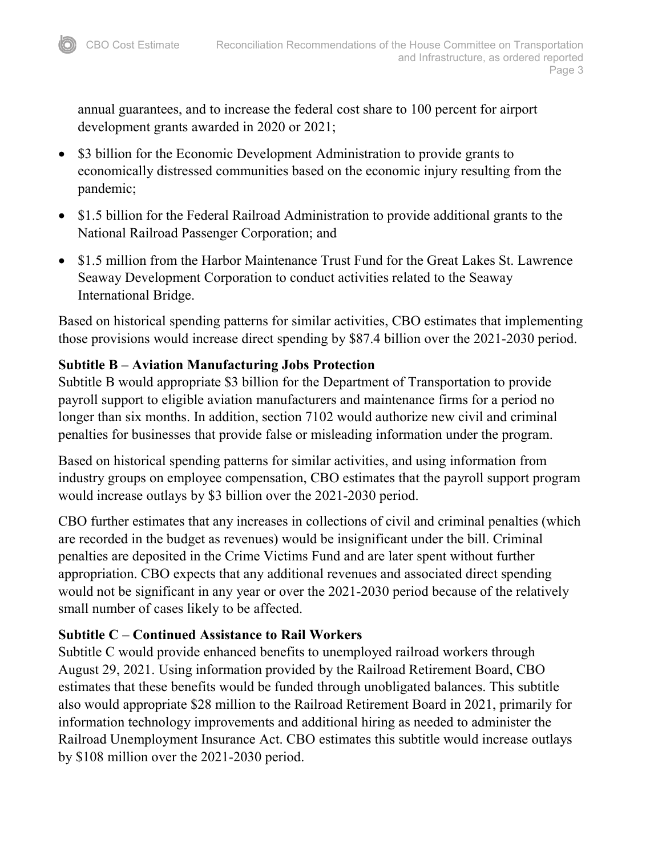annual guarantees, and to increase the federal cost share to 100 percent for airport development grants awarded in 2020 or 2021;

- \$3 billion for the Economic Development Administration to provide grants to economically distressed communities based on the economic injury resulting from the pandemic;
- \$1.5 billion for the Federal Railroad Administration to provide additional grants to the National Railroad Passenger Corporation; and
- \$1.5 million from the Harbor Maintenance Trust Fund for the Great Lakes St. Lawrence Seaway Development Corporation to conduct activities related to the Seaway International Bridge.

Based on historical spending patterns for similar activities, CBO estimates that implementing those provisions would increase direct spending by \$87.4 billion over the 2021-2030 period.

## **Subtitle B – Aviation Manufacturing Jobs Protection**

Subtitle B would appropriate \$3 billion for the Department of Transportation to provide payroll support to eligible aviation manufacturers and maintenance firms for a period no longer than six months. In addition, section 7102 would authorize new civil and criminal penalties for businesses that provide false or misleading information under the program.

Based on historical spending patterns for similar activities, and using information from industry groups on employee compensation, CBO estimates that the payroll support program would increase outlays by \$3 billion over the 2021-2030 period.

CBO further estimates that any increases in collections of civil and criminal penalties (which are recorded in the budget as revenues) would be insignificant under the bill. Criminal penalties are deposited in the Crime Victims Fund and are later spent without further appropriation. CBO expects that any additional revenues and associated direct spending would not be significant in any year or over the 2021-2030 period because of the relatively small number of cases likely to be affected.

## **Subtitle C – Continued Assistance to Rail Workers**

Subtitle C would provide enhanced benefits to unemployed railroad workers through August 29, 2021. Using information provided by the Railroad Retirement Board, CBO estimates that these benefits would be funded through unobligated balances. This subtitle also would appropriate \$28 million to the Railroad Retirement Board in 2021, primarily for information technology improvements and additional hiring as needed to administer the Railroad Unemployment Insurance Act. CBO estimates this subtitle would increase outlays by \$108 million over the 2021-2030 period.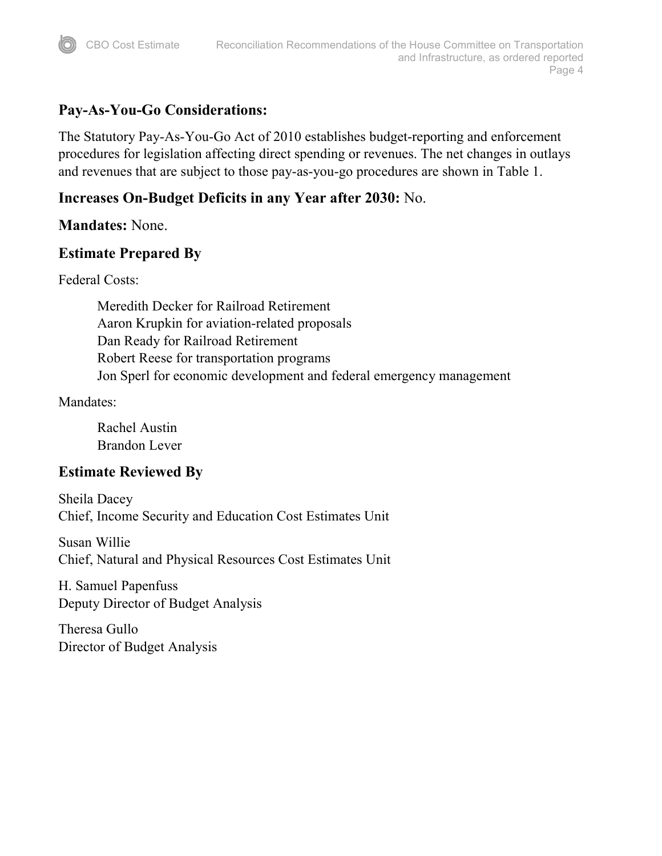# **Pay-As-You-Go Considerations:**

The Statutory Pay-As-You-Go Act of 2010 establishes budget-reporting and enforcement procedures for legislation affecting direct spending or revenues. The net changes in outlays and revenues that are subject to those pay-as-you-go procedures are shown in Table 1.

# **Increases On-Budget Deficits in any Year after 2030:** No.

#### **Mandates:** None.

#### **Estimate Prepared By**

Federal Costs:

Meredith Decker for Railroad Retirement Aaron Krupkin for aviation-related proposals Dan Ready for Railroad Retirement Robert Reese for transportation programs Jon Sperl for economic development and federal emergency management

#### Mandates:

Rachel Austin Brandon Lever

## **Estimate Reviewed By**

Sheila Dacey Chief, Income Security and Education Cost Estimates Unit

Susan Willie Chief, Natural and Physical Resources Cost Estimates Unit

H. Samuel Papenfuss Deputy Director of Budget Analysis

Theresa Gullo Director of Budget Analysis